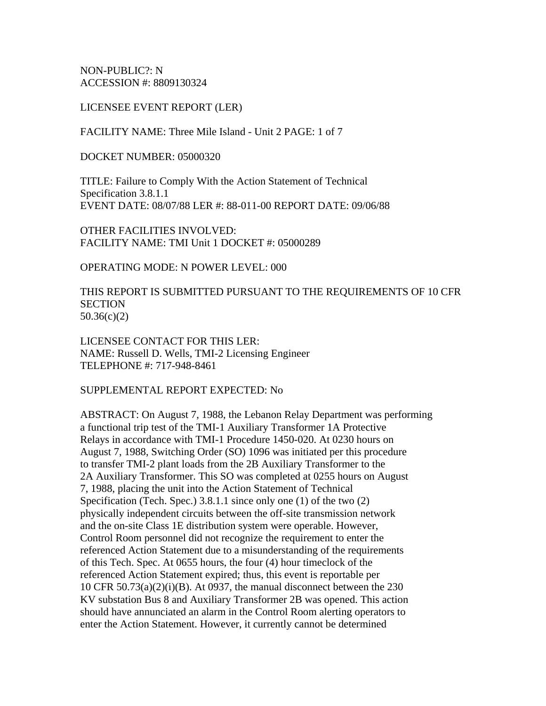NON-PUBLIC?: N ACCESSION #: 8809130324

#### LICENSEE EVENT REPORT (LER)

FACILITY NAME: Three Mile Island - Unit 2 PAGE: 1 of 7

DOCKET NUMBER: 05000320

TITLE: Failure to Comply With the Action Statement of Technical Specification 3.8.1.1 EVENT DATE: 08/07/88 LER #: 88-011-00 REPORT DATE: 09/06/88

OTHER FACILITIES INVOLVED: FACILITY NAME: TMI Unit 1 DOCKET #: 05000289

OPERATING MODE: N POWER LEVEL: 000

THIS REPORT IS SUBMITTED PURSUANT TO THE REQUIREMENTS OF 10 CFR **SECTION** 50.36(c)(2)

LICENSEE CONTACT FOR THIS LER: NAME: Russell D. Wells, TMI-2 Licensing Engineer TELEPHONE #: 717-948-8461

#### SUPPLEMENTAL REPORT EXPECTED: No

ABSTRACT: On August 7, 1988, the Lebanon Relay Department was performing a functional trip test of the TMI-1 Auxiliary Transformer 1A Protective Relays in accordance with TMI-1 Procedure 1450-020. At 0230 hours on August 7, 1988, Switching Order (SO) 1096 was initiated per this procedure to transfer TMI-2 plant loads from the 2B Auxiliary Transformer to the 2A Auxiliary Transformer. This SO was completed at 0255 hours on August 7, 1988, placing the unit into the Action Statement of Technical Specification (Tech. Spec.) 3.8.1.1 since only one (1) of the two (2) physically independent circuits between the off-site transmission network and the on-site Class 1E distribution system were operable. However, Control Room personnel did not recognize the requirement to enter the referenced Action Statement due to a misunderstanding of the requirements of this Tech. Spec. At 0655 hours, the four (4) hour timeclock of the referenced Action Statement expired; thus, this event is reportable per 10 CFR 50.73(a)(2)(i)(B). At 0937, the manual disconnect between the 230 KV substation Bus 8 and Auxiliary Transformer 2B was opened. This action should have annunciated an alarm in the Control Room alerting operators to enter the Action Statement. However, it currently cannot be determined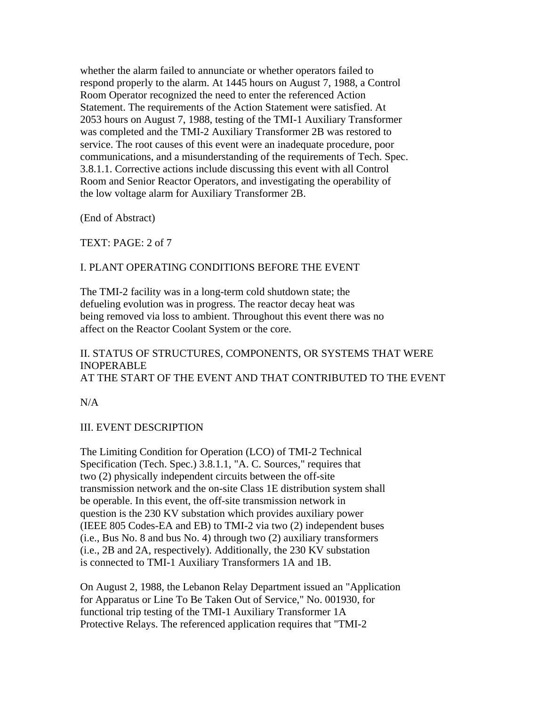whether the alarm failed to annunciate or whether operators failed to respond properly to the alarm. At 1445 hours on August 7, 1988, a Control Room Operator recognized the need to enter the referenced Action Statement. The requirements of the Action Statement were satisfied. At 2053 hours on August 7, 1988, testing of the TMI-1 Auxiliary Transformer was completed and the TMI-2 Auxiliary Transformer 2B was restored to service. The root causes of this event were an inadequate procedure, poor communications, and a misunderstanding of the requirements of Tech. Spec. 3.8.1.1. Corrective actions include discussing this event with all Control Room and Senior Reactor Operators, and investigating the operability of the low voltage alarm for Auxiliary Transformer 2B.

(End of Abstract)

TEXT: PAGE: 2 of 7

# I. PLANT OPERATING CONDITIONS BEFORE THE EVENT

The TMI-2 facility was in a long-term cold shutdown state; the defueling evolution was in progress. The reactor decay heat was being removed via loss to ambient. Throughout this event there was no affect on the Reactor Coolant System or the core.

# II. STATUS OF STRUCTURES, COMPONENTS, OR SYSTEMS THAT WERE INOPERABLE AT THE START OF THE EVENT AND THAT CONTRIBUTED TO THE EVENT

N/A

# III. EVENT DESCRIPTION

The Limiting Condition for Operation (LCO) of TMI-2 Technical Specification (Tech. Spec.) 3.8.1.1, "A. C. Sources," requires that two (2) physically independent circuits between the off-site transmission network and the on-site Class 1E distribution system shall be operable. In this event, the off-site transmission network in question is the 230 KV substation which provides auxiliary power (IEEE 805 Codes-EA and EB) to TMI-2 via two (2) independent buses (i.e., Bus No. 8 and bus No. 4) through two (2) auxiliary transformers (i.e., 2B and 2A, respectively). Additionally, the 230 KV substation is connected to TMI-1 Auxiliary Transformers 1A and 1B.

On August 2, 1988, the Lebanon Relay Department issued an "Application for Apparatus or Line To Be Taken Out of Service," No. 001930, for functional trip testing of the TMI-1 Auxiliary Transformer 1A Protective Relays. The referenced application requires that "TMI-2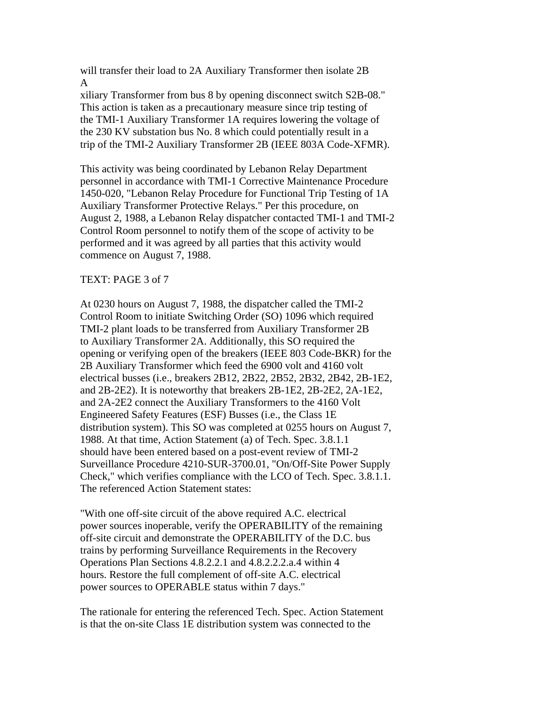will transfer their load to 2A Auxiliary Transformer then isolate 2B A

xiliary Transformer from bus 8 by opening disconnect switch S2B-08." This action is taken as a precautionary measure since trip testing of the TMI-1 Auxiliary Transformer 1A requires lowering the voltage of the 230 KV substation bus No. 8 which could potentially result in a trip of the TMI-2 Auxiliary Transformer 2B (IEEE 803A Code-XFMR).

This activity was being coordinated by Lebanon Relay Department personnel in accordance with TMI-1 Corrective Maintenance Procedure 1450-020, "Lebanon Relay Procedure for Functional Trip Testing of 1A Auxiliary Transformer Protective Relays." Per this procedure, on August 2, 1988, a Lebanon Relay dispatcher contacted TMI-1 and TMI-2 Control Room personnel to notify them of the scope of activity to be performed and it was agreed by all parties that this activity would commence on August 7, 1988.

#### TEXT: PAGE 3 of 7

At 0230 hours on August 7, 1988, the dispatcher called the TMI-2 Control Room to initiate Switching Order (SO) 1096 which required TMI-2 plant loads to be transferred from Auxiliary Transformer 2B to Auxiliary Transformer 2A. Additionally, this SO required the opening or verifying open of the breakers (IEEE 803 Code-BKR) for the 2B Auxiliary Transformer which feed the 6900 volt and 4160 volt electrical busses (i.e., breakers 2B12, 2B22, 2B52, 2B32, 2B42, 2B-1E2, and 2B-2E2). It is noteworthy that breakers 2B-1E2, 2B-2E2, 2A-1E2, and 2A-2E2 connect the Auxiliary Transformers to the 4160 Volt Engineered Safety Features (ESF) Busses (i.e., the Class 1E distribution system). This SO was completed at 0255 hours on August 7, 1988. At that time, Action Statement (a) of Tech. Spec. 3.8.1.1 should have been entered based on a post-event review of TMI-2 Surveillance Procedure 4210-SUR-3700.01, "On/Off-Site Power Supply Check," which verifies compliance with the LCO of Tech. Spec. 3.8.1.1. The referenced Action Statement states:

"With one off-site circuit of the above required A.C. electrical power sources inoperable, verify the OPERABILITY of the remaining off-site circuit and demonstrate the OPERABILITY of the D.C. bus trains by performing Surveillance Requirements in the Recovery Operations Plan Sections 4.8.2.2.1 and 4.8.2.2.2.a.4 within 4 hours. Restore the full complement of off-site A.C. electrical power sources to OPERABLE status within 7 days."

The rationale for entering the referenced Tech. Spec. Action Statement is that the on-site Class 1E distribution system was connected to the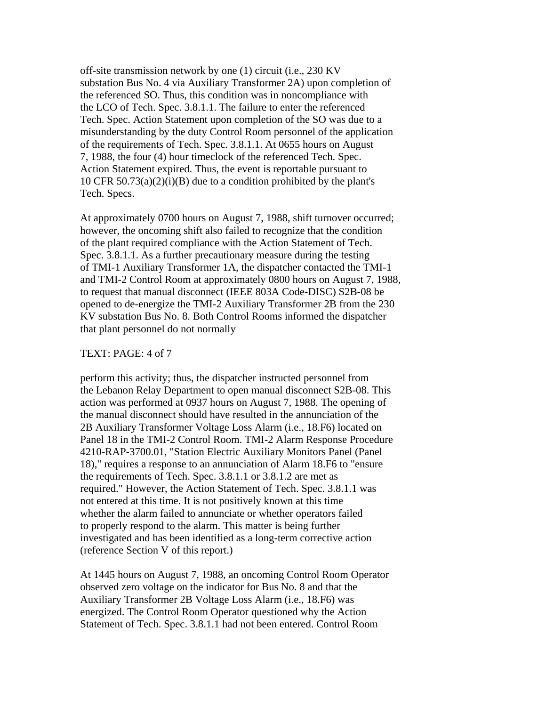off-site transmission network by one (1) circuit (i.e., 230 KV substation Bus No. 4 via Auxiliary Transformer 2A) upon completion of the referenced SO. Thus, this condition was in noncompliance with the LCO of Tech. Spec. 3.8.1.1. The failure to enter the referenced Tech. Spec. Action Statement upon completion of the SO was due to a misunderstanding by the duty Control Room personnel of the application of the requirements of Tech. Spec. 3.8.1.1. At 0655 hours on August 7, 1988, the four (4) hour timeclock of the referenced Tech. Spec. Action Statement expired. Thus, the event is reportable pursuant to 10 CFR  $50.73(a)(2)(i)(B)$  due to a condition prohibited by the plant's Tech. Specs.

At approximately 0700 hours on August 7, 1988, shift turnover occurred; however, the oncoming shift also failed to recognize that the condition of the plant required compliance with the Action Statement of Tech. Spec. 3.8.1.1. As a further precautionary measure during the testing of TMI-1 Auxiliary Transformer 1A, the dispatcher contacted the TMI-1 and TMI-2 Control Room at approximately 0800 hours on August 7, 1988, to request that manual disconnect (IEEE 803A Code-DISC) S2B-08 be opened to de-energize the TMI-2 Auxiliary Transformer 2B from the 230 KV substation Bus No. 8. Both Control Rooms informed the dispatcher that plant personnel do not normally

#### TEXT: PAGE: 4 of 7

perform this activity; thus, the dispatcher instructed personnel from the Lebanon Relay Department to open manual disconnect S2B-08. This action was performed at 0937 hours on August 7, 1988. The opening of the manual disconnect should have resulted in the annunciation of the 2B Auxiliary Transformer Voltage Loss Alarm (i.e., 18.F6) located on Panel 18 in the TMI-2 Control Room. TMI-2 Alarm Response Procedure 4210-RAP-3700.01, "Station Electric Auxiliary Monitors Panel (Panel 18)," requires a response to an annunciation of Alarm 18.F6 to "ensure the requirements of Tech. Spec. 3.8.1.1 or 3.8.1.2 are met as required." However, the Action Statement of Tech. Spec. 3.8.1.1 was not entered at this time. It is not positively known at this time whether the alarm failed to annunciate or whether operators failed to properly respond to the alarm. This matter is being further investigated and has been identified as a long-term corrective action (reference Section V of this report.)

At 1445 hours on August 7, 1988, an oncoming Control Room Operator observed zero voltage on the indicator for Bus No. 8 and that the Auxiliary Transformer 2B Voltage Loss Alarm (i.e., 18.F6) was energized. The Control Room Operator questioned why the Action Statement of Tech. Spec. 3.8.1.1 had not been entered. Control Room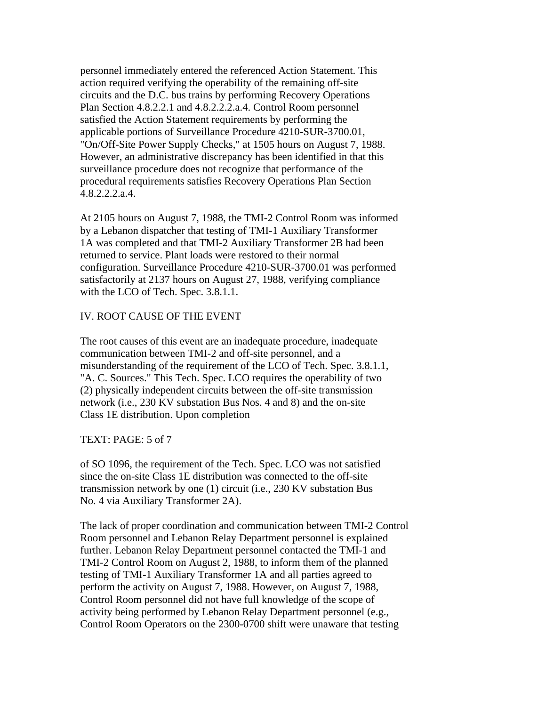personnel immediately entered the referenced Action Statement. This action required verifying the operability of the remaining off-site circuits and the D.C. bus trains by performing Recovery Operations Plan Section 4.8.2.2.1 and 4.8.2.2.2.a.4. Control Room personnel satisfied the Action Statement requirements by performing the applicable portions of Surveillance Procedure 4210-SUR-3700.01, "On/Off-Site Power Supply Checks," at 1505 hours on August 7, 1988. However, an administrative discrepancy has been identified in that this surveillance procedure does not recognize that performance of the procedural requirements satisfies Recovery Operations Plan Section 4.8.2.2.2.a.4.

At 2105 hours on August 7, 1988, the TMI-2 Control Room was informed by a Lebanon dispatcher that testing of TMI-1 Auxiliary Transformer 1A was completed and that TMI-2 Auxiliary Transformer 2B had been returned to service. Plant loads were restored to their normal configuration. Surveillance Procedure 4210-SUR-3700.01 was performed satisfactorily at 2137 hours on August 27, 1988, verifying compliance with the LCO of Tech. Spec. 3.8.1.1.

# IV. ROOT CAUSE OF THE EVENT

The root causes of this event are an inadequate procedure, inadequate communication between TMI-2 and off-site personnel, and a misunderstanding of the requirement of the LCO of Tech. Spec. 3.8.1.1, "A. C. Sources." This Tech. Spec. LCO requires the operability of two (2) physically independent circuits between the off-site transmission network (i.e., 230 KV substation Bus Nos. 4 and 8) and the on-site Class 1E distribution. Upon completion

TEXT: PAGE: 5 of 7

of SO 1096, the requirement of the Tech. Spec. LCO was not satisfied since the on-site Class 1E distribution was connected to the off-site transmission network by one (1) circuit (i.e., 230 KV substation Bus No. 4 via Auxiliary Transformer 2A).

The lack of proper coordination and communication between TMI-2 Control Room personnel and Lebanon Relay Department personnel is explained further. Lebanon Relay Department personnel contacted the TMI-1 and TMI-2 Control Room on August 2, 1988, to inform them of the planned testing of TMI-1 Auxiliary Transformer 1A and all parties agreed to perform the activity on August 7, 1988. However, on August 7, 1988, Control Room personnel did not have full knowledge of the scope of activity being performed by Lebanon Relay Department personnel (e.g., Control Room Operators on the 2300-0700 shift were unaware that testing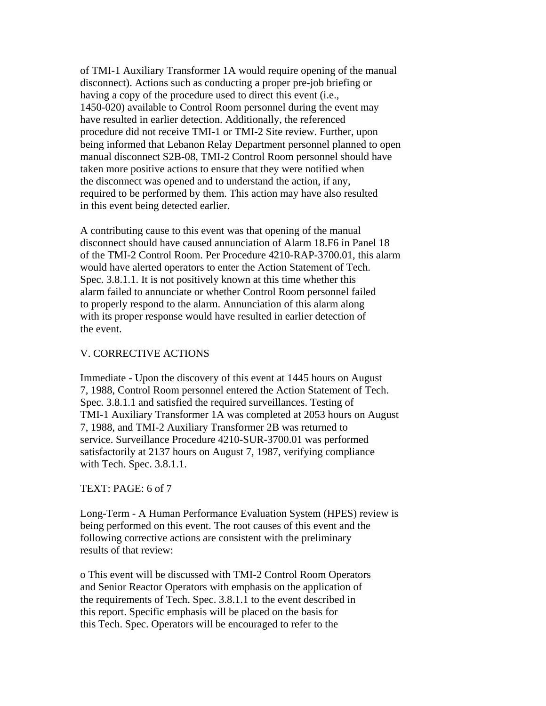of TMI-1 Auxiliary Transformer 1A would require opening of the manual disconnect). Actions such as conducting a proper pre-job briefing or having a copy of the procedure used to direct this event (i.e., 1450-020) available to Control Room personnel during the event may have resulted in earlier detection. Additionally, the referenced procedure did not receive TMI-1 or TMI-2 Site review. Further, upon being informed that Lebanon Relay Department personnel planned to open manual disconnect S2B-08, TMI-2 Control Room personnel should have taken more positive actions to ensure that they were notified when the disconnect was opened and to understand the action, if any, required to be performed by them. This action may have also resulted in this event being detected earlier.

A contributing cause to this event was that opening of the manual disconnect should have caused annunciation of Alarm 18.F6 in Panel 18 of the TMI-2 Control Room. Per Procedure 4210-RAP-3700.01, this alarm would have alerted operators to enter the Action Statement of Tech. Spec. 3.8.1.1. It is not positively known at this time whether this alarm failed to annunciate or whether Control Room personnel failed to properly respond to the alarm. Annunciation of this alarm along with its proper response would have resulted in earlier detection of the event.

#### V. CORRECTIVE ACTIONS

Immediate - Upon the discovery of this event at 1445 hours on August 7, 1988, Control Room personnel entered the Action Statement of Tech. Spec. 3.8.1.1 and satisfied the required surveillances. Testing of TMI-1 Auxiliary Transformer 1A was completed at 2053 hours on August 7, 1988, and TMI-2 Auxiliary Transformer 2B was returned to service. Surveillance Procedure 4210-SUR-3700.01 was performed satisfactorily at 2137 hours on August 7, 1987, verifying compliance with Tech. Spec. 3.8.1.1.

#### TEXT: PAGE: 6 of 7

Long-Term - A Human Performance Evaluation System (HPES) review is being performed on this event. The root causes of this event and the following corrective actions are consistent with the preliminary results of that review:

o This event will be discussed with TMI-2 Control Room Operators and Senior Reactor Operators with emphasis on the application of the requirements of Tech. Spec. 3.8.1.1 to the event described in this report. Specific emphasis will be placed on the basis for this Tech. Spec. Operators will be encouraged to refer to the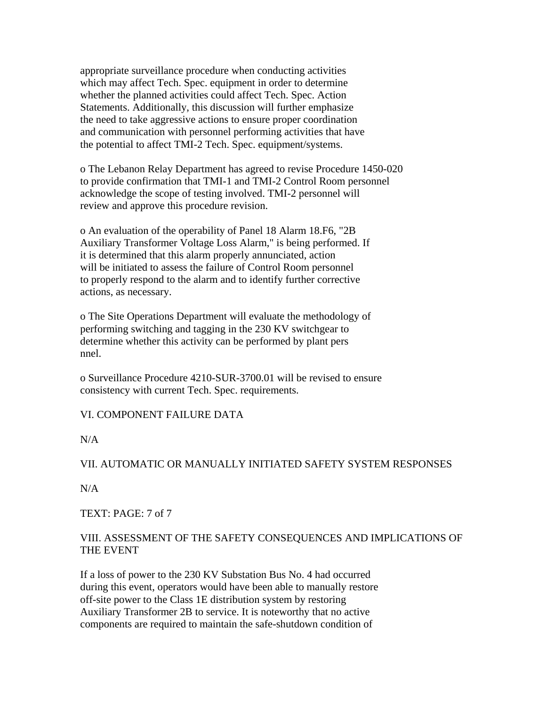appropriate surveillance procedure when conducting activities which may affect Tech. Spec. equipment in order to determine whether the planned activities could affect Tech. Spec. Action Statements. Additionally, this discussion will further emphasize the need to take aggressive actions to ensure proper coordination and communication with personnel performing activities that have the potential to affect TMI-2 Tech. Spec. equipment/systems.

o The Lebanon Relay Department has agreed to revise Procedure 1450-020 to provide confirmation that TMI-1 and TMI-2 Control Room personnel acknowledge the scope of testing involved. TMI-2 personnel will review and approve this procedure revision.

o An evaluation of the operability of Panel 18 Alarm 18.F6, "2B Auxiliary Transformer Voltage Loss Alarm," is being performed. If it is determined that this alarm properly annunciated, action will be initiated to assess the failure of Control Room personnel to properly respond to the alarm and to identify further corrective actions, as necessary.

o The Site Operations Department will evaluate the methodology of performing switching and tagging in the 230 KV switchgear to determine whether this activity can be performed by plant pers nnel.

o Surveillance Procedure 4210-SUR-3700.01 will be revised to ensure consistency with current Tech. Spec. requirements.

# VI. COMPONENT FAILURE DATA

N/A

# VII. AUTOMATIC OR MANUALLY INITIATED SAFETY SYSTEM RESPONSES

N/A

TEXT: PAGE: 7 of 7

# VIII. ASSESSMENT OF THE SAFETY CONSEQUENCES AND IMPLICATIONS OF THE EVENT

If a loss of power to the 230 KV Substation Bus No. 4 had occurred during this event, operators would have been able to manually restore off-site power to the Class 1E distribution system by restoring Auxiliary Transformer 2B to service. It is noteworthy that no active components are required to maintain the safe-shutdown condition of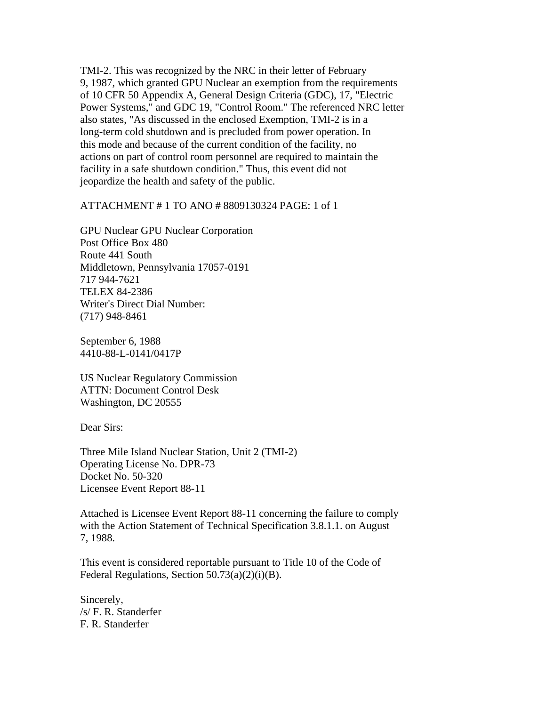TMI-2. This was recognized by the NRC in their letter of February 9, 1987, which granted GPU Nuclear an exemption from the requirements of 10 CFR 50 Appendix A, General Design Criteria (GDC), 17, "Electric Power Systems," and GDC 19, "Control Room." The referenced NRC letter also states, "As discussed in the enclosed Exemption, TMI-2 is in a long-term cold shutdown and is precluded from power operation. In this mode and because of the current condition of the facility, no actions on part of control room personnel are required to maintain the facility in a safe shutdown condition." Thus, this event did not jeopardize the health and safety of the public.

#### ATTACHMENT # 1 TO ANO # 8809130324 PAGE: 1 of 1

GPU Nuclear GPU Nuclear Corporation Post Office Box 480 Route 441 South Middletown, Pennsylvania 17057-0191 717 944-7621 TELEX 84-2386 Writer's Direct Dial Number: (717) 948-8461

September 6, 1988 4410-88-L-0141/0417P

US Nuclear Regulatory Commission ATTN: Document Control Desk Washington, DC 20555

Dear Sirs:

Three Mile Island Nuclear Station, Unit 2 (TMI-2) Operating License No. DPR-73 Docket No. 50-320 Licensee Event Report 88-11

Attached is Licensee Event Report 88-11 concerning the failure to comply with the Action Statement of Technical Specification 3.8.1.1. on August 7, 1988.

This event is considered reportable pursuant to Title 10 of the Code of Federal Regulations, Section  $50.73(a)(2)(i)(B)$ .

Sincerely, /s/ F. R. Standerfer F. R. Standerfer